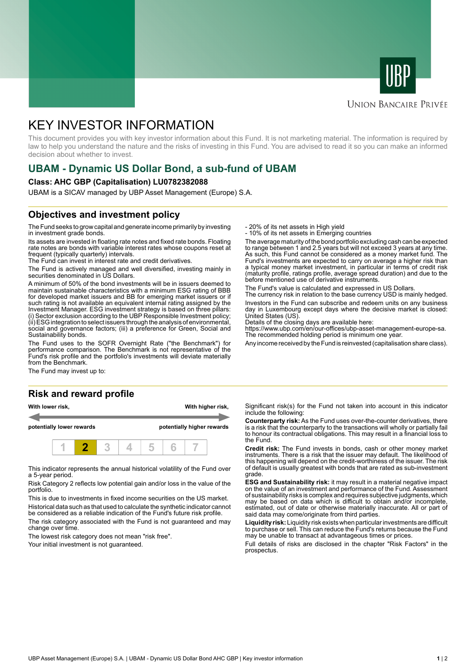



### **UNION BANCAIRE PRIVÉE**

# KEY INVESTOR INFORMATION

This document provides you with key investor information about this Fund. It is not marketing material. The information is required by law to help you understand the nature and the risks of investing in this Fund. You are advised to read it so you can make an informed decision about whether to invest.

# **UBAM - Dynamic US Dollar Bond, a sub-fund of UBAM**

#### **Class: AHC GBP (Capitalisation) LU0782382088**

UBAM is a SICAV managed by UBP Asset Management (Europe) S.A.

### **Objectives and investment policy**

The Fund seeks to grow capital and generate income primarily by investing in investment grade bonds.

Its assets are invested in floating rate notes and fixed rate bonds. Floating rate notes are bonds with variable interest rates whose coupons reset at frequent (typically quarterly) intervals.

The Fund can invest in interest rate and credit derivatives.

The Fund is actively managed and well diversified, investing mainly in securities denominated in US Dollars.

A minimum of 50% of the bond investments will be in issuers deemed to maintain sustainable characteristics with a minimum ESG rating of BBB for developed market issuers and BB for emerging market issuers or if such rating is not available an equivalent internal rating assigned by the Investment Manager. ESG investment strategy is based on three pillars: (i) Sector exclusion according to the UBP Responsible Investment policy; (ii) ESG integration to select issuers through the analysis of environmental, social and governance factors; (iii) a preference for Green, Social and Sustainability bonds.

The Fund uses to the SOFR Overnight Rate ("the Benchmark") for performance comparison. The Benchmark is not representative of the Fund's risk profile and the portfolio's investments will deviate materially from the Benchmark.

The Fund may invest up to:

#### **Risk and reward profile**





This indicator represents the annual historical volatility of the Fund over a 5-year period.

Risk Category 2 reflects low potential gain and/or loss in the value of the portfolio.

This is due to investments in fixed income securities on the US market. Historical data such as that used to calculate the synthetic indicator cannot be considered as a reliable indication of the Fund's future risk profile.

The risk category associated with the Fund is not guaranteed and may change over time.

The lowest risk category does not mean "risk free".

Your initial investment is not guaranteed.

- 20% of its net assets in High yield

- 10% of its net assets in Emerging countries

The average maturity of the bond portfolio excluding cash can be expected to range between 1 and 2.5 years but will not exceed 3 years at any time. As such, this Fund cannot be considered as a money market fund. The Fund's investments are expected to carry on average a higher risk than a typical money market investment, in particular in terms of credit risk (maturity profile, ratings profile, average spread duration) and due to the before mentioned use of derivative instruments.

The Fund's value is calculated and expressed in US Dollars.

The currency risk in relation to the base currency USD is mainly hedged. Investors in the Fund can subscribe and redeem units on any business day in Luxembourg except days where the decisive market is closed:

United States (US). Details of the closing days are available here:

https://www.ubp.com/en/our-offices/ubp-asset-management-europe-sa. The recommended holding period is minimum one year.

Any income received by the Fund is reinvested (capitalisation share class).

Significant risk(s) for the Fund not taken into account in this indicator include the following:

**Counterparty risk:** As the Fund uses over-the-counter derivatives, there is a risk that the counterparty to the transactions will wholly or partially fail to honour its contractual obligations. This may result in a financial loss to the Fund.

**Credit risk:** The Fund invests in bonds, cash or other money market instruments. There is a risk that the issuer may default. The likelihood of this happening will depend on the credit-worthiness of the issuer. The risk of default is usually greatest with bonds that are rated as sub-investment grade.

**ESG and Sustainability risk:** it may result in a material negative impact on the value of an investment and performance of the Fund. Assessment of sustainability risks is complex and requires subjective judgments, which may be based on data which is difficult to obtain and/or incomplete, estimated, out of date or otherwise materially inaccurate. All or part of said data may come/originate from third parties.

**Liquidity risk:** Liquidity risk exists when particular investments are difficult to purchase or sell. This can reduce the Fund's returns because the Fund may be unable to transact at advantageous times or prices.

Full details of risks are disclosed in the chapter "Risk Factors" in the prospectus.

UBP Asset Management (Europe) S.A. | UBAM - Dynamic US Dollar Bond AHC GBP | Key investor information **1** | 2